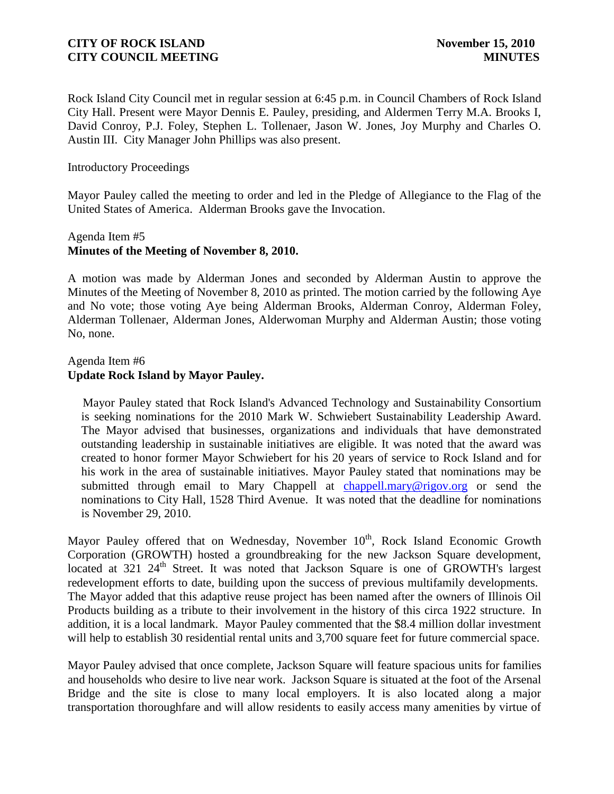Rock Island City Council met in regular session at 6:45 p.m. in Council Chambers of Rock Island City Hall. Present were Mayor Dennis E. Pauley, presiding, and Aldermen Terry M.A. Brooks I, David Conroy, P.J. Foley, Stephen L. Tollenaer, Jason W. Jones, Joy Murphy and Charles O. Austin III. City Manager John Phillips was also present.

Introductory Proceedings

Mayor Pauley called the meeting to order and led in the Pledge of Allegiance to the Flag of the United States of America. Alderman Brooks gave the Invocation.

# Agenda Item #5 **Minutes of the Meeting of November 8, 2010.**

A motion was made by Alderman Jones and seconded by Alderman Austin to approve the Minutes of the Meeting of November 8, 2010 as printed. The motion carried by the following Aye and No vote; those voting Aye being Alderman Brooks, Alderman Conroy, Alderman Foley, Alderman Tollenaer, Alderman Jones, Alderwoman Murphy and Alderman Austin; those voting No, none.

# Agenda Item #6 **Update Rock Island by Mayor Pauley.**

 Mayor Pauley stated that Rock Island's Advanced Technology and Sustainability Consortium is seeking nominations for the 2010 Mark W. Schwiebert Sustainability Leadership Award. The Mayor advised that businesses, organizations and individuals that have demonstrated outstanding leadership in sustainable initiatives are eligible. It was noted that the award was created to honor former Mayor Schwiebert for his 20 years of service to Rock Island and for his work in the area of sustainable initiatives. Mayor Pauley stated that nominations may be submitted through email to Mary Chappell at [chappell.mary@rigov.org](mailto:chappell.mary@rigov.org) or send the nominations to City Hall, 1528 Third Avenue. It was noted that the deadline for nominations is November 29, 2010.

Mayor Pauley offered that on Wednesday, November  $10<sup>th</sup>$ , Rock Island Economic Growth Corporation (GROWTH) hosted a groundbreaking for the new Jackson Square development, located at 321 24<sup>th</sup> Street. It was noted that Jackson Square is one of GROWTH's largest redevelopment efforts to date, building upon the success of previous multifamily developments. The Mayor added that this adaptive reuse project has been named after the owners of Illinois Oil Products building as a tribute to their involvement in the history of this circa 1922 structure. In addition, it is a local landmark. Mayor Pauley commented that the \$8.4 million dollar investment will help to establish 30 residential rental units and 3,700 square feet for future commercial space.

Mayor Pauley advised that once complete, Jackson Square will feature spacious units for families and households who desire to live near work. Jackson Square is situated at the foot of the Arsenal Bridge and the site is close to many local employers. It is also located along a major transportation thoroughfare and will allow residents to easily access many amenities by virtue of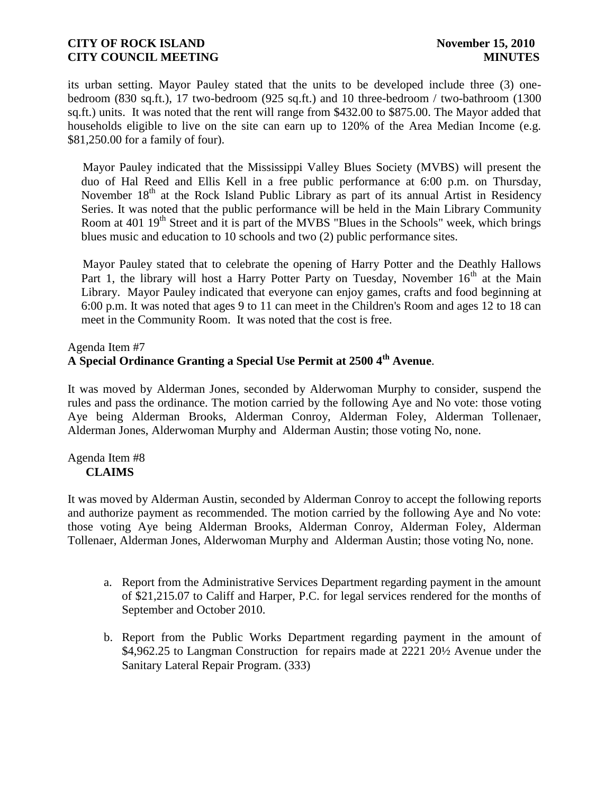its urban setting. Mayor Pauley stated that the units to be developed include three (3) onebedroom (830 sq.ft.), 17 two-bedroom (925 sq.ft.) and 10 three-bedroom / two-bathroom (1300 sq.ft.) units. It was noted that the rent will range from \$432.00 to \$875.00. The Mayor added that households eligible to live on the site can earn up to 120% of the Area Median Income (e.g. \$81,250.00 for a family of four).

 Mayor Pauley indicated that the Mississippi Valley Blues Society (MVBS) will present the duo of Hal Reed and Ellis Kell in a free public performance at 6:00 p.m. on Thursday, November  $18<sup>th</sup>$  at the Rock Island Public Library as part of its annual Artist in Residency Series. It was noted that the public performance will be held in the Main Library Community Room at 401 19<sup>th</sup> Street and it is part of the MVBS "Blues in the Schools" week, which brings blues music and education to 10 schools and two (2) public performance sites.

 Mayor Pauley stated that to celebrate the opening of Harry Potter and the Deathly Hallows Part 1, the library will host a Harry Potter Party on Tuesday, November  $16<sup>th</sup>$  at the Main Library. Mayor Pauley indicated that everyone can enjoy games, crafts and food beginning at 6:00 p.m. It was noted that ages 9 to 11 can meet in the Children's Room and ages 12 to 18 can meet in the Community Room. It was noted that the cost is free.

### Agenda Item #7

# **A Special Ordinance Granting a Special Use Permit at 2500 4th Avenue**.

It was moved by Alderman Jones, seconded by Alderwoman Murphy to consider, suspend the rules and pass the ordinance. The motion carried by the following Aye and No vote: those voting Aye being Alderman Brooks, Alderman Conroy, Alderman Foley, Alderman Tollenaer, Alderman Jones, Alderwoman Murphy and Alderman Austin; those voting No, none.

### Agenda Item #8 **CLAIMS**

It was moved by Alderman Austin, seconded by Alderman Conroy to accept the following reports and authorize payment as recommended. The motion carried by the following Aye and No vote: those voting Aye being Alderman Brooks, Alderman Conroy, Alderman Foley, Alderman Tollenaer, Alderman Jones, Alderwoman Murphy and Alderman Austin; those voting No, none.

- a. Report from the Administrative Services Department regarding payment in the amount of \$21,215.07 to Califf and Harper, P.C. for legal services rendered for the months of September and October 2010.
- b. Report from the Public Works Department regarding payment in the amount of \$4,962.25 to Langman Construction for repairs made at 2221 20½ Avenue under the Sanitary Lateral Repair Program. (333)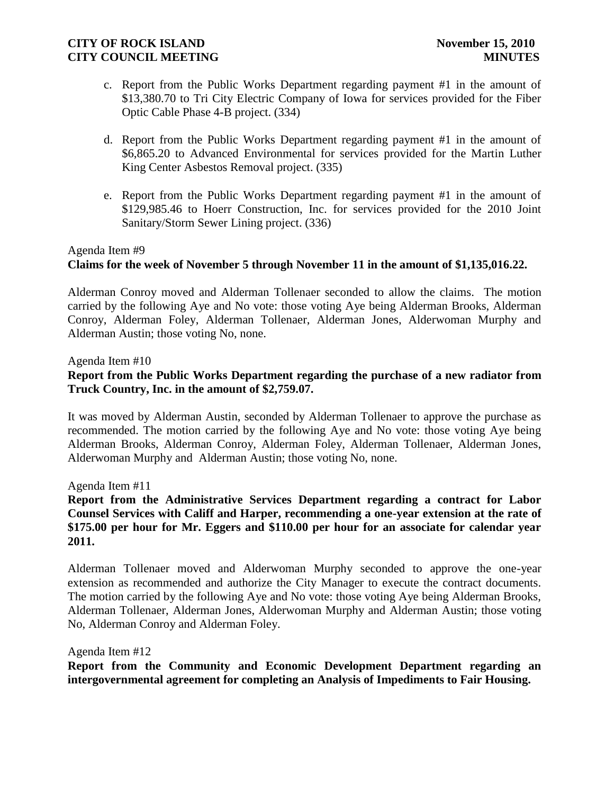- c. Report from the Public Works Department regarding payment #1 in the amount of \$13,380.70 to Tri City Electric Company of Iowa for services provided for the Fiber Optic Cable Phase 4-B project. (334)
- d. Report from the Public Works Department regarding payment #1 in the amount of \$6,865.20 to Advanced Environmental for services provided for the Martin Luther King Center Asbestos Removal project. (335)
- e. Report from the Public Works Department regarding payment #1 in the amount of \$129,985.46 to Hoerr Construction, Inc. for services provided for the 2010 Joint Sanitary/Storm Sewer Lining project. (336)

### Agenda Item #9

# **Claims for the week of November 5 through November 11 in the amount of \$1,135,016.22.**

Alderman Conroy moved and Alderman Tollenaer seconded to allow the claims. The motion carried by the following Aye and No vote: those voting Aye being Alderman Brooks, Alderman Conroy, Alderman Foley, Alderman Tollenaer, Alderman Jones, Alderwoman Murphy and Alderman Austin; those voting No, none.

Agenda Item #10

# **Report from the Public Works Department regarding the purchase of a new radiator from Truck Country, Inc. in the amount of \$2,759.07.**

It was moved by Alderman Austin, seconded by Alderman Tollenaer to approve the purchase as recommended. The motion carried by the following Aye and No vote: those voting Aye being Alderman Brooks, Alderman Conroy, Alderman Foley, Alderman Tollenaer, Alderman Jones, Alderwoman Murphy and Alderman Austin; those voting No, none.

Agenda Item #11

**Report from the Administrative Services Department regarding a contract for Labor Counsel Services with Califf and Harper, recommending a one-year extension at the rate of \$175.00 per hour for Mr. Eggers and \$110.00 per hour for an associate for calendar year 2011.**

Alderman Tollenaer moved and Alderwoman Murphy seconded to approve the one-year extension as recommended and authorize the City Manager to execute the contract documents. The motion carried by the following Aye and No vote: those voting Aye being Alderman Brooks, Alderman Tollenaer, Alderman Jones, Alderwoman Murphy and Alderman Austin; those voting No, Alderman Conroy and Alderman Foley.

Agenda Item #12

**Report from the Community and Economic Development Department regarding an intergovernmental agreement for completing an Analysis of Impediments to Fair Housing.**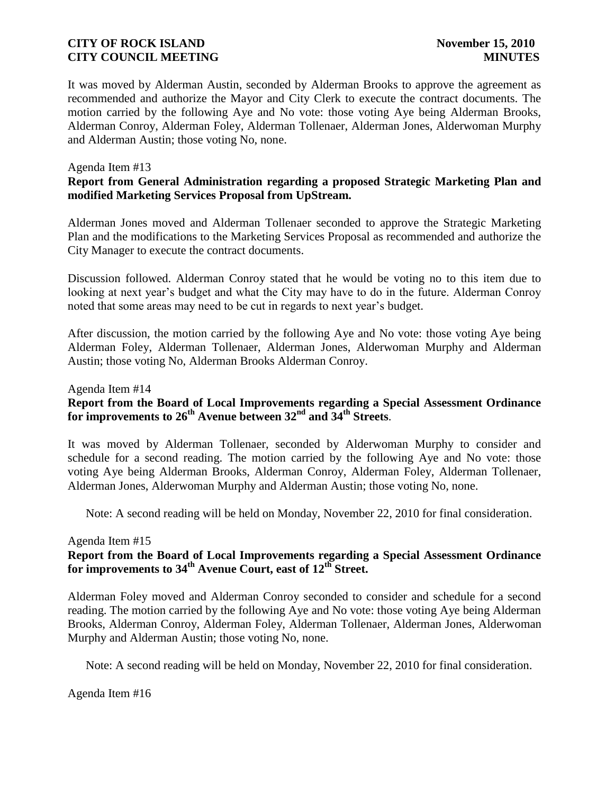It was moved by Alderman Austin, seconded by Alderman Brooks to approve the agreement as recommended and authorize the Mayor and City Clerk to execute the contract documents. The motion carried by the following Aye and No vote: those voting Aye being Alderman Brooks, Alderman Conroy, Alderman Foley, Alderman Tollenaer, Alderman Jones, Alderwoman Murphy and Alderman Austin; those voting No, none.

### Agenda Item #13

# **Report from General Administration regarding a proposed Strategic Marketing Plan and modified Marketing Services Proposal from UpStream.**

Alderman Jones moved and Alderman Tollenaer seconded to approve the Strategic Marketing Plan and the modifications to the Marketing Services Proposal as recommended and authorize the City Manager to execute the contract documents.

Discussion followed. Alderman Conroy stated that he would be voting no to this item due to looking at next year's budget and what the City may have to do in the future. Alderman Conroy noted that some areas may need to be cut in regards to next year's budget.

After discussion, the motion carried by the following Aye and No vote: those voting Aye being Alderman Foley, Alderman Tollenaer, Alderman Jones, Alderwoman Murphy and Alderman Austin; those voting No, Alderman Brooks Alderman Conroy.

#### Agenda Item #14

# **Report from the Board of Local Improvements regarding a Special Assessment Ordinance for improvements to 26th Avenue between 32nd and 34th Streets**.

It was moved by Alderman Tollenaer, seconded by Alderwoman Murphy to consider and schedule for a second reading. The motion carried by the following Aye and No vote: those voting Aye being Alderman Brooks, Alderman Conroy, Alderman Foley, Alderman Tollenaer, Alderman Jones, Alderwoman Murphy and Alderman Austin; those voting No, none.

Note: A second reading will be held on Monday, November 22, 2010 for final consideration.

#### Agenda Item #15

# **Report from the Board of Local Improvements regarding a Special Assessment Ordinance for improvements to 34th Avenue Court, east of 12th Street.**

Alderman Foley moved and Alderman Conroy seconded to consider and schedule for a second reading. The motion carried by the following Aye and No vote: those voting Aye being Alderman Brooks, Alderman Conroy, Alderman Foley, Alderman Tollenaer, Alderman Jones, Alderwoman Murphy and Alderman Austin; those voting No, none.

Note: A second reading will be held on Monday, November 22, 2010 for final consideration.

Agenda Item #16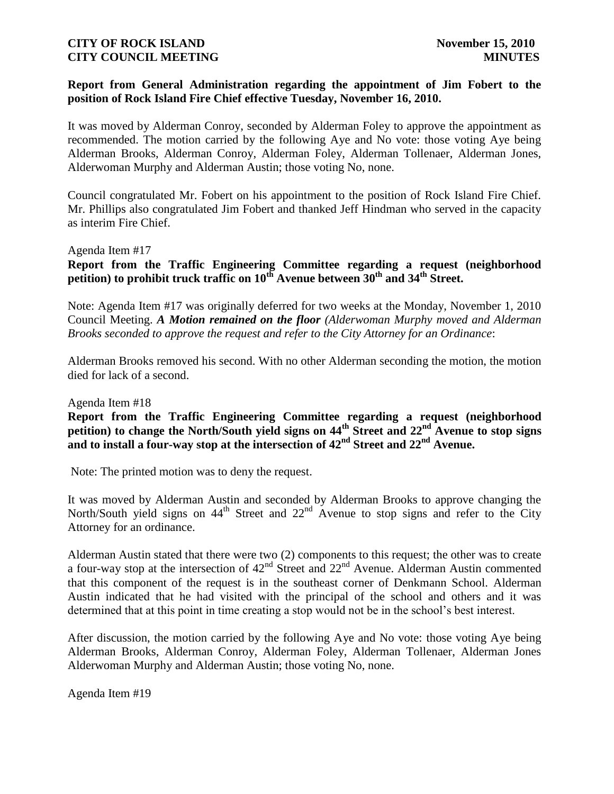### **Report from General Administration regarding the appointment of Jim Fobert to the position of Rock Island Fire Chief effective Tuesday, November 16, 2010.**

It was moved by Alderman Conroy, seconded by Alderman Foley to approve the appointment as recommended. The motion carried by the following Aye and No vote: those voting Aye being Alderman Brooks, Alderman Conroy, Alderman Foley, Alderman Tollenaer, Alderman Jones, Alderwoman Murphy and Alderman Austin; those voting No, none.

Council congratulated Mr. Fobert on his appointment to the position of Rock Island Fire Chief. Mr. Phillips also congratulated Jim Fobert and thanked Jeff Hindman who served in the capacity as interim Fire Chief.

Agenda Item #17

**Report from the Traffic Engineering Committee regarding a request (neighborhood petition) to prohibit truck traffic on 10th Avenue between 30th and 34th Street.**

Note: Agenda Item #17 was originally deferred for two weeks at the Monday, November 1, 2010 Council Meeting. *A Motion remained on the floor (Alderwoman Murphy moved and Alderman Brooks seconded to approve the request and refer to the City Attorney for an Ordinance*:

Alderman Brooks removed his second. With no other Alderman seconding the motion, the motion died for lack of a second.

#### Agenda Item #18

**Report from the Traffic Engineering Committee regarding a request (neighborhood petition) to change the North/South yield signs on 44th Street and 22nd Avenue to stop signs and to install a four-way stop at the intersection of 42nd Street and 22nd Avenue.**

Note: The printed motion was to deny the request.

It was moved by Alderman Austin and seconded by Alderman Brooks to approve changing the North/South yield signs on  $44<sup>th</sup>$  Street and  $22<sup>nd</sup>$  Avenue to stop signs and refer to the City Attorney for an ordinance.

Alderman Austin stated that there were two (2) components to this request; the other was to create a four-way stop at the intersection of  $42<sup>nd</sup>$  Street and  $22<sup>nd</sup>$  Avenue. Alderman Austin commented that this component of the request is in the southeast corner of Denkmann School. Alderman Austin indicated that he had visited with the principal of the school and others and it was determined that at this point in time creating a stop would not be in the school's best interest.

After discussion, the motion carried by the following Aye and No vote: those voting Aye being Alderman Brooks, Alderman Conroy, Alderman Foley, Alderman Tollenaer, Alderman Jones Alderwoman Murphy and Alderman Austin; those voting No, none.

Agenda Item #19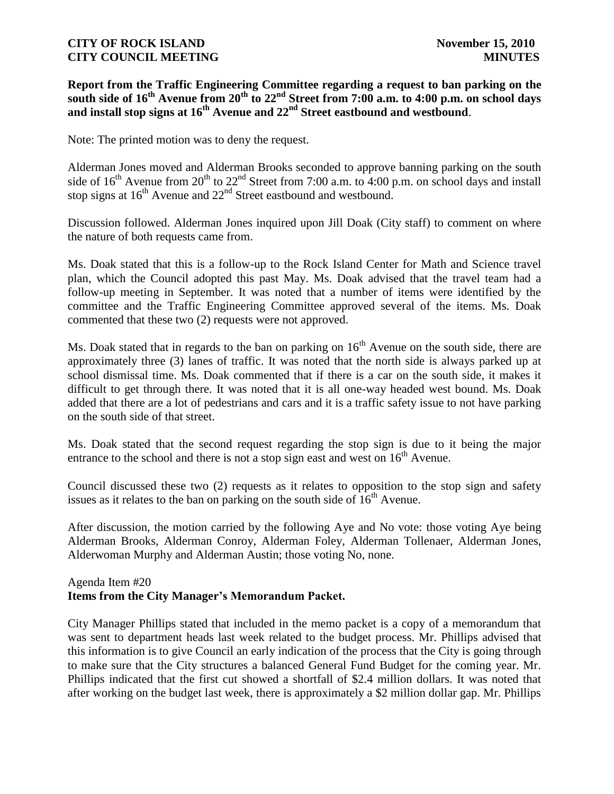**Report from the Traffic Engineering Committee regarding a request to ban parking on the south side of 16th Avenue from 20th to 22nd Street from 7:00 a.m. to 4:00 p.m. on school days and install stop signs at 16th Avenue and 22nd Street eastbound and westbound**.

Note: The printed motion was to deny the request.

Alderman Jones moved and Alderman Brooks seconded to approve banning parking on the south side of  $16<sup>th</sup>$  Avenue from  $20<sup>th</sup>$  to  $22<sup>nd</sup>$  Street from 7:00 a.m. to 4:00 p.m. on school days and install stop signs at  $16^{th}$  Avenue and  $22^{nd}$  Street eastbound and westbound.

Discussion followed. Alderman Jones inquired upon Jill Doak (City staff) to comment on where the nature of both requests came from.

Ms. Doak stated that this is a follow-up to the Rock Island Center for Math and Science travel plan, which the Council adopted this past May. Ms. Doak advised that the travel team had a follow-up meeting in September. It was noted that a number of items were identified by the committee and the Traffic Engineering Committee approved several of the items. Ms. Doak commented that these two (2) requests were not approved.

Ms. Doak stated that in regards to the ban on parking on  $16<sup>th</sup>$  Avenue on the south side, there are approximately three (3) lanes of traffic. It was noted that the north side is always parked up at school dismissal time. Ms. Doak commented that if there is a car on the south side, it makes it difficult to get through there. It was noted that it is all one-way headed west bound. Ms. Doak added that there are a lot of pedestrians and cars and it is a traffic safety issue to not have parking on the south side of that street.

Ms. Doak stated that the second request regarding the stop sign is due to it being the major entrance to the school and there is not a stop sign east and west on  $16<sup>th</sup>$  Avenue.

Council discussed these two (2) requests as it relates to opposition to the stop sign and safety issues as it relates to the ban on parking on the south side of  $16<sup>th</sup>$  Avenue.

After discussion, the motion carried by the following Aye and No vote: those voting Aye being Alderman Brooks, Alderman Conroy, Alderman Foley, Alderman Tollenaer, Alderman Jones, Alderwoman Murphy and Alderman Austin; those voting No, none.

# Agenda Item #20 **Items from the City Manager's Memorandum Packet.**

City Manager Phillips stated that included in the memo packet is a copy of a memorandum that was sent to department heads last week related to the budget process. Mr. Phillips advised that this information is to give Council an early indication of the process that the City is going through to make sure that the City structures a balanced General Fund Budget for the coming year. Mr. Phillips indicated that the first cut showed a shortfall of \$2.4 million dollars. It was noted that after working on the budget last week, there is approximately a \$2 million dollar gap. Mr. Phillips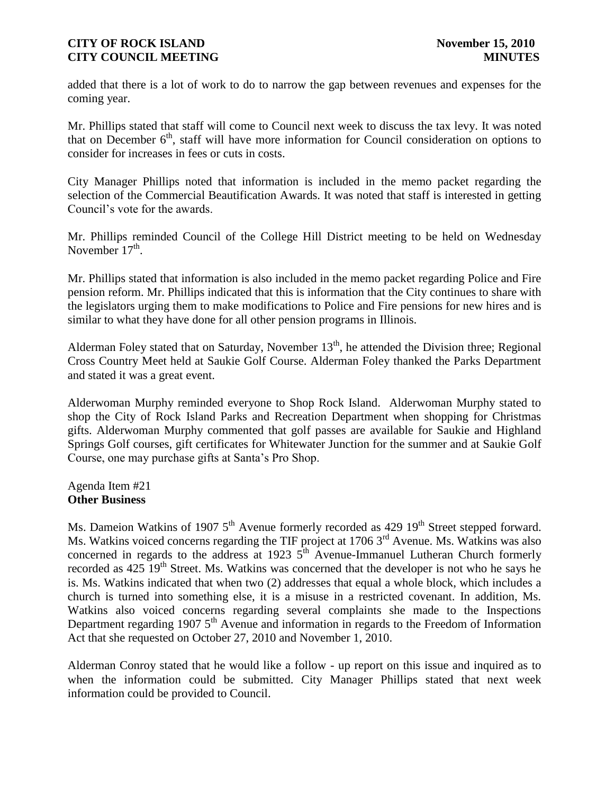added that there is a lot of work to do to narrow the gap between revenues and expenses for the coming year.

Mr. Phillips stated that staff will come to Council next week to discuss the tax levy. It was noted that on December  $6<sup>th</sup>$ , staff will have more information for Council consideration on options to consider for increases in fees or cuts in costs.

City Manager Phillips noted that information is included in the memo packet regarding the selection of the Commercial Beautification Awards. It was noted that staff is interested in getting Council's vote for the awards.

Mr. Phillips reminded Council of the College Hill District meeting to be held on Wednesday November  $17<sup>th</sup>$ .

Mr. Phillips stated that information is also included in the memo packet regarding Police and Fire pension reform. Mr. Phillips indicated that this is information that the City continues to share with the legislators urging them to make modifications to Police and Fire pensions for new hires and is similar to what they have done for all other pension programs in Illinois.

Alderman Foley stated that on Saturday, November  $13<sup>th</sup>$ , he attended the Division three; Regional Cross Country Meet held at Saukie Golf Course. Alderman Foley thanked the Parks Department and stated it was a great event.

Alderwoman Murphy reminded everyone to Shop Rock Island. Alderwoman Murphy stated to shop the City of Rock Island Parks and Recreation Department when shopping for Christmas gifts. Alderwoman Murphy commented that golf passes are available for Saukie and Highland Springs Golf courses, gift certificates for Whitewater Junction for the summer and at Saukie Golf Course, one may purchase gifts at Santa's Pro Shop.

Agenda Item #21 **Other Business**

Ms. Dameion Watkins of 1907  $5<sup>th</sup>$  Avenue formerly recorded as 429 19<sup>th</sup> Street stepped forward. Ms. Watkins voiced concerns regarding the TIF project at 1706 3<sup>rd</sup> Avenue. Ms. Watkins was also concerned in regards to the address at 1923  $5<sup>th</sup>$  Avenue-Immanuel Lutheran Church formerly recorded as 425 19<sup>th</sup> Street. Ms. Watkins was concerned that the developer is not who he says he is. Ms. Watkins indicated that when two (2) addresses that equal a whole block, which includes a church is turned into something else, it is a misuse in a restricted covenant. In addition, Ms. Watkins also voiced concerns regarding several complaints she made to the Inspections Department regarding 1907  $5<sup>th</sup>$  Avenue and information in regards to the Freedom of Information Act that she requested on October 27, 2010 and November 1, 2010.

Alderman Conroy stated that he would like a follow - up report on this issue and inquired as to when the information could be submitted. City Manager Phillips stated that next week information could be provided to Council.